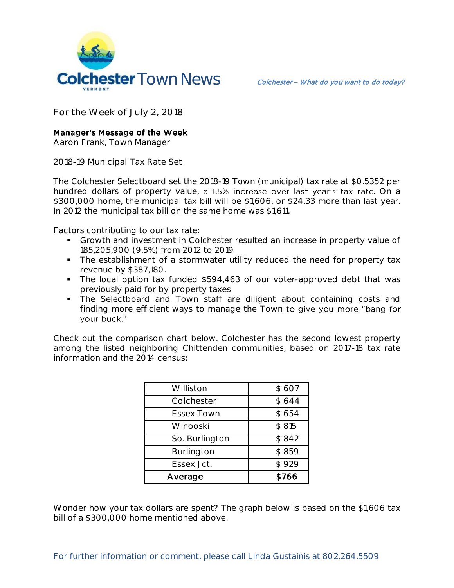

**For the Week of July 2, 2018**

## **Manager's Message of the Week**

**Aaron Frank, Town Manager**

**2018-19 Municipal Tax Rate Set**

The Colchester Selectboard set the 2018-19 Town (municipal) tax rate at \$0.5352 per hundred dollars of property value, a 1.5% increase over last year's tax rate. On a \$300,000 home, the municipal tax bill will be \$1,606, or \$24.33 more than last year. In 2012 the municipal tax bill on the same home was \$1,611.

Factors contributing to our tax rate:

- Growth and investment in Colchester resulted an increase in property value of 185,205,900 (9.5%) from 2012 to 2019
- **The establishment of a stormwater utility reduced the need for property tax** revenue by \$387,180.
- The local option tax funded \$594,463 of our voter-approved debt that was previously paid for by property taxes
- The Selectboard and Town staff are diligent about containing costs and finding more efficient ways to manage the Town to give you more "bang for your buck."

Check out the comparison chart below. Colchester has the second lowest property among the listed neighboring Chittenden communities, based on 2017-18 tax rate information and the 2014 census:

| Williston         | \$607 |
|-------------------|-------|
| Colchester        | \$644 |
| <b>Essex Town</b> | \$654 |
| Winooski          | \$815 |
| So. Burlington    | \$842 |
| Burlington        | \$859 |
| Essex Jct.        | \$929 |
| Average           | \$766 |

Wonder how your tax dollars are spent? The graph below is based on the \$1,606 tax bill of a \$300,000 home mentioned above.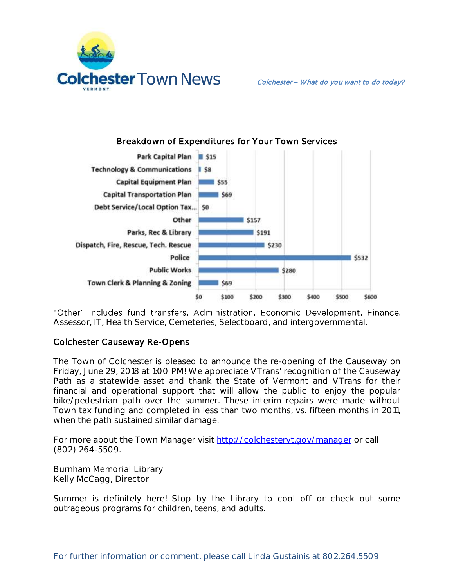



Breakdown of Expenditures for Your Town Services

"Other" includes fund transfers, Administration, Economic Development, Finance, Assessor, IT, Health Service, Cemeteries, Selectboard, and intergovernmental.

## Colchester Causeway Re-Opens

The Town of Colchester is pleased to announce the re-opening of the Causeway on Friday, June 29, 2018 at 1:00 PM! We appreciate VTrans' recognition of the Causeway Path as a statewide asset and thank the State of Vermont and VTrans for their financial and operational support that will allow the public to enjoy the popular bike/pedestrian path over the summer. These interim repairs were made without Town tax funding and completed in less than two months, vs. fifteen months in 2011, when the path sustained similar damage.

For more about the Town Manager visit<http://colchestervt.gov/manager> or call (802) 264-5509.

**Burnham Memorial Library Kelly McCagg, Director**

Summer is definitely here! Stop by the Library to cool off or check out some outrageous programs for children, teens, and adults.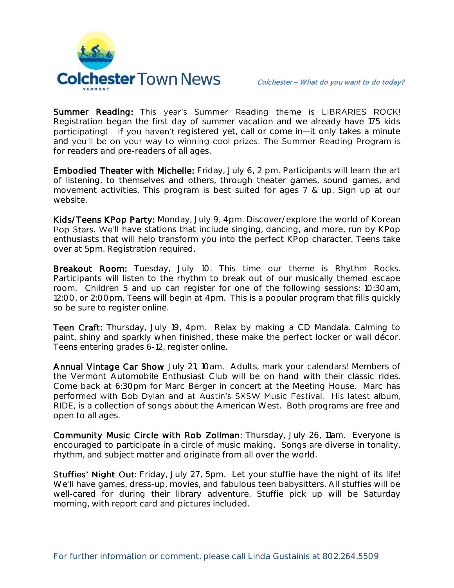

Summer Reading: This year's Summer Reading theme is LIBRARIES ROCK! Registration began the first day of summer vacation and we already have 175 kids participating! If you haven't registered yet, call or come in-it only takes a minute and you'll be on your way to winning cool prizes. The Summer Reading Program is for readers and pre-readers of all ages.

Embodied Theater with Michelle: Friday, July 6, 2 pm. Participants will learn the art of listening, to themselves and others, through theater games, sound games, and movement activities. This program is best suited for ages 7 & up. Sign up at our website.

Kids/Teens KPop Party: Monday, July 9, 4pm. Discover/explore the world of Korean Pop Stars. We'll have stations that include singing, dancing, and more, run by KPop enthusiasts that will help transform you into the perfect KPop character. Teens take over at 5pm. Registration required.

Breakout Room: Tuesday, July 10. This time our theme is Rhythm Rocks. Participants will listen to the rhythm to break out of our musically themed escape room. Children 5 and up can register for one of the following sessions: 10:30am, 12:00, or 2:00pm. Teens will begin at 4pm. This is a popular program that fills quickly so be sure to register online.

Teen Craft: Thursday, July 19, 4pm. Relax by making a CD Mandala. Calming to paint, shiny and sparkly when finished, these make the perfect locker or wall décor. Teens entering grades 6-12, register online.

Annual Vintage Car Show July 21, 10am. Adults, mark your calendars! Members of the Vermont Automobile Enthusiast Club will be on hand with their classic rides. Come back at 6:30pm for Marc Berger in concert at the Meeting House. Marc has performed with Bob Dylan and at Austin's SXSW Music Festival. His latest album, RIDE, is a collection of songs about the American West. Both programs are free and open to all ages.

Community Music Circle with Rob Zollman: Thursday, July 26, 11am. Everyone is encouraged to participate in a circle of music making. Songs are diverse in tonality, rhythm, and subject matter and originate from all over the world.

Stuffies' Night Out: Friday, July 27, 5pm. Let your stuffie have the night of its life! We'll have games, dress-up, movies, and fabulous teen babysitters. All stuffies will be well-cared for during their library adventure. Stuffie pick up will be Saturday morning, with report card and pictures included.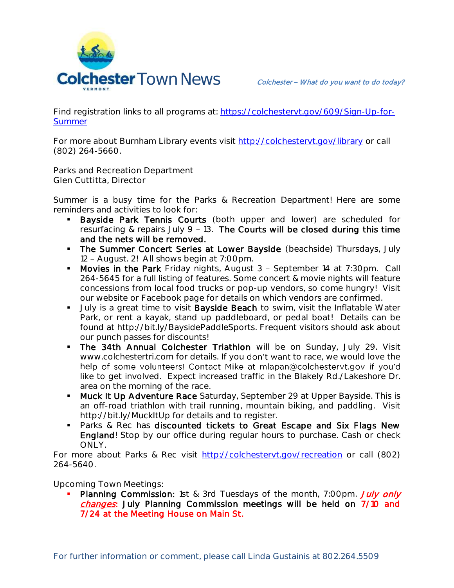

Find registration links to all programs at: [https://colchestervt.gov/609/Sign-Up-for-](https://colchestervt.gov/609/Sign-Up-for-Summer)**[Summer](https://colchestervt.gov/609/Sign-Up-for-Summer)** 

For more about Burnham Library events visit<http://colchestervt.gov/library> or call (802) 264-5660.

**Parks and Recreation Department Glen Cuttitta, Director**

Summer is a busy time for the Parks & Recreation Department! Here are some reminders and activities to look for:

- Bayside Park Tennis Courts (both upper and lower) are scheduled for resurfacing & repairs July 9 - 13. The Courts will be closed during this time and the nets will be removed.
- The Summer Concert Series at Lower Bayside (beachside) Thursdays, July 12 - August. 2! All shows begin at 7:00pm.
- Movies in the Park Friday nights, August 3 September 14 at 7:30pm. Call 264-5645 for a full listing of features. Some concert & movie nights will feature concessions from local food trucks or pop-up vendors, so come hungry! Visit our website or Facebook page for details on which vendors are confirmed.
- Uuly is a great time to visit Bayside Beach to swim, visit the Inflatable Water Park, or rent a kayak, stand up paddleboard, or pedal boat! Details can be found at http://bit.ly/BaysidePaddleSports. Frequent visitors should ask about our punch passes for discounts!
- The 34th Annual Colchester Triathlon will be on Sunday, July 29. Visit www.colchestertri.com for details. If you don't want to race, we would love the help of some volunteers! Contact Mike at mlapan@colchestervt.gov if you'd like to get involved. Expect increased traffic in the Blakely Rd./Lakeshore Dr. area on the morning of the race.
- **Muck It Up Adventure Race** Saturday, September 29 at Upper Bayside. This is an off-road triathlon with trail running, mountain biking, and paddling. Visit http://bit.ly/MuckItUp for details and to register.
- **Parks & Rec has discounted tickets to Great Escape and Six Flags New** England! Stop by our office during regular hours to purchase. Cash or check ONLY.

For more about Parks & Rec visit [http://colchestervt.gov/recreation](http://colchestervt.gov/Recreation/parksNRec.shtml) or call (802) 264-5640.

**Upcoming Town Meetings:** 

Planning Commission: 1st & 3rd Tuesdays of the month, 7:00pm. July only changes: July Planning Commission meetings will be held on 7/10 and 7/24 at the Meeting House on Main St.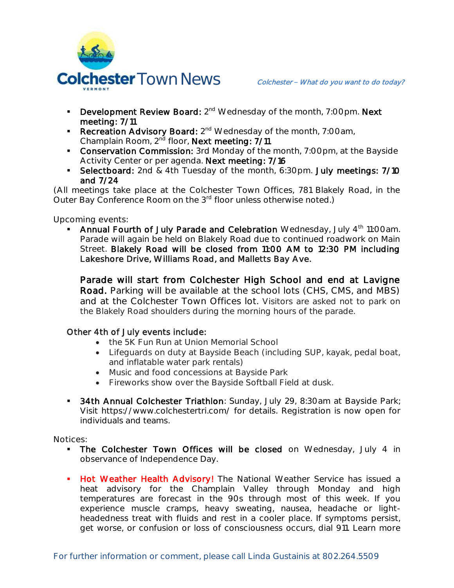

- Development Review Board: 2<sup>nd</sup> Wednesday of the month, 7:00pm. Next meeting: 7/11
- Recreation Advisory Board: 2<sup>nd</sup> Wednesday of the month, 7:00am, Champlain Room, 2<sup>nd</sup> floor, Next meeting: 7/11
- **Conservation Commission:** 3rd Monday of the month, 7:00pm, at the Bayside Activity Center or per agenda. Next meeting: 7/16
- **Selectboard:** 2nd & 4th Tuesday of the month, 6:30pm. July meetings: 7/10 and 7/24

(All meetings take place at the Colchester Town Offices, 781 Blakely Road, in the Outer Bay Conference Room on the 3<sup>rd</sup> floor unless otherwise noted.)

**Upcoming events:** 

• Annual Fourth of July Parade and Celebration Wednesday, July 4<sup>th</sup> 11:00am. Parade will again be held on Blakely Road due to continued roadwork on Main Street. Blakely Road will be closed from 11:00 AM to 12:30 PM including Lakeshore Drive, Williams Road, and Malletts Bay Ave.

 Parade will start from Colchester High School and end at Lavigne Road. Parking will be available at the school lots (CHS, CMS, and MBS) and at the Colchester Town Offices lot. Visitors are asked not to park on the Blakely Road shoulders during the morning hours of the parade.

## Other 4th of July events include:

- the 5K Fun Run at Union Memorial School
- Lifeguards on duty at Bayside Beach (including SUP, kayak, pedal boat, and inflatable water park rentals)
- Music and food concessions at Bayside Park
- Fireworks show over the Bayside Softball Field at dusk.
- **34th Annual Colchester Triathlon**: Sunday, July 29, 8:30am at Bayside Park; Visit https://www.colchestertri.com/ for details. Registration is now open for individuals and teams.

**Notices:**

- The Colchester Town Offices will be closed on Wednesday, July 4 in observance of Independence Day.
- **Hot Weather Health Advisory!** The National Weather Service has issued a heat advisory for the Champlain Valley through Monday and high temperatures are forecast in the 90s through most of this week. If you experience muscle cramps, heavy sweating, nausea, headache or lightheadedness treat with fluids and rest in a cooler place. If symptoms persist, get worse, or confusion or loss of consciousness occurs, dial 911. Learn more